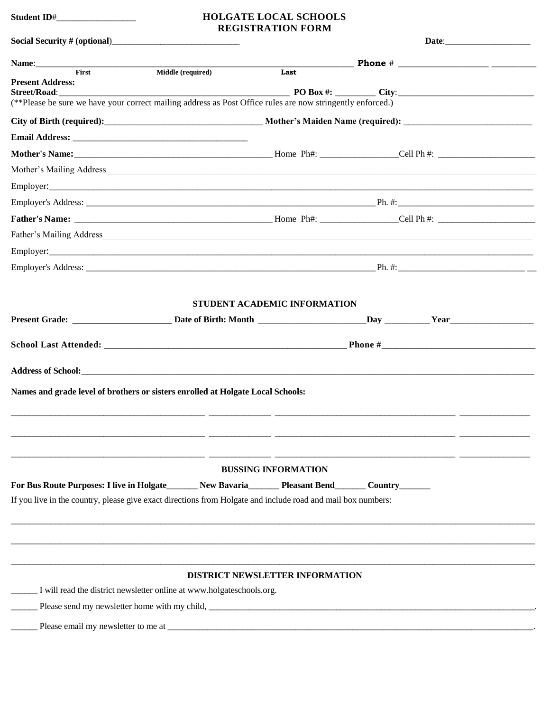## HOLGATE LOCAL SCHOOLS **REGISTRATION FORM**

| Name: 1988 and 1988 and 1988 and 1988 and 1988 and 1988 and 1988 and 1988 and 1988 and 1988 and 1988 and 1988 and 1988 and 1988 and 1988 and 1988 and 1988 and 1988 and 1988 and 1988 and 1988 and 1988 and 1988 and 1988 and |                                                                       |                                 |                          |  |  |  |
|-------------------------------------------------------------------------------------------------------------------------------------------------------------------------------------------------------------------------------|-----------------------------------------------------------------------|---------------------------------|--------------------------|--|--|--|
| First<br><b>Present Address:</b>                                                                                                                                                                                              | Middle (required)                                                     | Last                            |                          |  |  |  |
| <b>Street/Road:</b>                                                                                                                                                                                                           |                                                                       |                                 |                          |  |  |  |
| (**Please be sure we have your correct mailing address as Post Office rules are now stringently enforced.)                                                                                                                    |                                                                       |                                 |                          |  |  |  |
|                                                                                                                                                                                                                               |                                                                       |                                 |                          |  |  |  |
|                                                                                                                                                                                                                               |                                                                       |                                 |                          |  |  |  |
|                                                                                                                                                                                                                               |                                                                       |                                 |                          |  |  |  |
|                                                                                                                                                                                                                               |                                                                       |                                 | Mother's Mailing Address |  |  |  |
|                                                                                                                                                                                                                               |                                                                       |                                 |                          |  |  |  |
|                                                                                                                                                                                                                               |                                                                       |                                 |                          |  |  |  |
|                                                                                                                                                                                                                               |                                                                       |                                 |                          |  |  |  |
|                                                                                                                                                                                                                               |                                                                       |                                 |                          |  |  |  |
|                                                                                                                                                                                                                               |                                                                       |                                 |                          |  |  |  |
|                                                                                                                                                                                                                               |                                                                       |                                 |                          |  |  |  |
|                                                                                                                                                                                                                               |                                                                       |                                 |                          |  |  |  |
|                                                                                                                                                                                                                               |                                                                       |                                 |                          |  |  |  |
|                                                                                                                                                                                                                               |                                                                       |                                 |                          |  |  |  |
|                                                                                                                                                                                                                               |                                                                       |                                 |                          |  |  |  |
| Names and grade level of brothers or sisters enrolled at Holgate Local Schools:                                                                                                                                               |                                                                       |                                 |                          |  |  |  |
|                                                                                                                                                                                                                               | <u> 1980 - Andrea Barbara, poeta esp</u>                              |                                 |                          |  |  |  |
|                                                                                                                                                                                                                               |                                                                       |                                 |                          |  |  |  |
|                                                                                                                                                                                                                               |                                                                       | <b>BUSSING INFORMATION</b>      |                          |  |  |  |
| For Bus Route Purposes: I live in Holgate New Bavaria Pleasant Bend Country                                                                                                                                                   |                                                                       |                                 |                          |  |  |  |
| If you live in the country, please give exact directions from Holgate and include road and mail box numbers:                                                                                                                  |                                                                       |                                 |                          |  |  |  |
|                                                                                                                                                                                                                               |                                                                       |                                 |                          |  |  |  |
|                                                                                                                                                                                                                               |                                                                       |                                 |                          |  |  |  |
|                                                                                                                                                                                                                               |                                                                       | DISTRICT NEWSLETTER INFORMATION |                          |  |  |  |
|                                                                                                                                                                                                                               | I will read the district newsletter online at www.holgateschools.org. |                                 |                          |  |  |  |
|                                                                                                                                                                                                                               |                                                                       |                                 |                          |  |  |  |